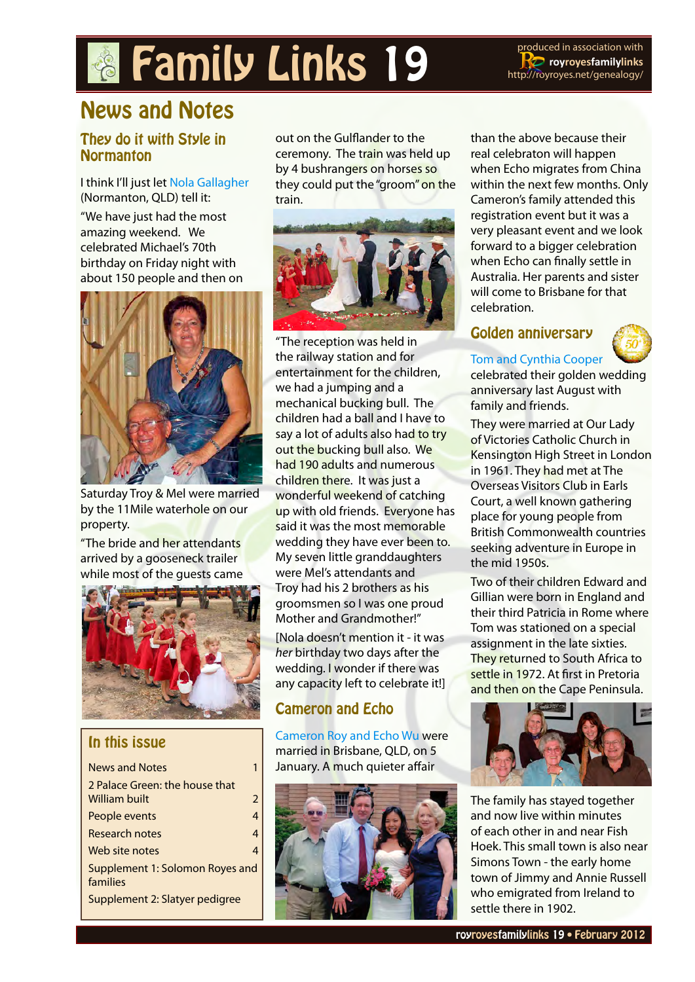# **Family Links 19** Produced in association with

**RO** royroyesfamilylinks <http://royroyes.net/genealogy>/

## News and Notes

#### They do it with Style in **Normanton**

#### I think I'll just let [Nola Gallagher](http://royroyes.net/genealogy/descend.php?personID=I1009&tree=rr_tree) (Normanton, QLD) tell it:

"We have just had the most amazing weekend. We celebrated Michael's 70th birthday on Friday night with about 150 people and then on



Saturday Troy & Mel were married by the 11Mile waterhole on our property.

"The bride and her attendants arrived by a gooseneck trailer while most of the guests came



#### In this issue

| <b>News and Notes</b>                           |                |  |  |
|-------------------------------------------------|----------------|--|--|
| 2 Palace Green: the house that<br>William built | $\mathfrak{D}$ |  |  |
| People events                                   | 4              |  |  |
| <b>Research notes</b>                           | 4              |  |  |
| Web site notes                                  |                |  |  |
| Supplement 1: Solomon Royes and<br>families     |                |  |  |
| Supplement 2: Slatyer pedigree                  |                |  |  |

out on the Gulflander to the ceremony. The train was held up by 4 bushrangers on horses so they could put the "groom" on the train.



"The reception was held in the railway station and for entertainment for the children, we had a jumping and a mechanical bucking bull. The children had a ball and I have to say a lot of adults also had to try out the bucking bull also. We had 190 adults and numerous children there. It was just a wonderful weekend of catching up with old friends. Everyone has said it was the most memorable wedding they have ever been to. My seven little granddaughters were Mel's attendants and Troy had his 2 brothers as his groomsmen so I was one proud Mother and Grandmother!"

[Nola doesn't mention it - it was *her* birthday two days after the wedding. I wonder if there was any capacity left to celebrate it!]

#### Cameron and Echo

[Cameron Roy and Echo Wu](http://royroyes.net/genealogy/familygroup.php?familyID=F4415&tree=rr_tree) were married in Brisbane, QLD, on 5 January. A much quieter affair



than the above because their real celebraton will happen when Echo migrates from China within the next few months. Only Cameron's family attended this registration event but it was a very pleasant event and we look forward to a bigger celebration when Echo can finally settle in Australia. Her parents and sister will come to Brisbane for that celebration.

#### Golden anniversary



#### [Tom and Cynthia Cooper](http://royroyes.net/genealogy/familygroup.php?familyID=F129&tree=rr_tree)

celebrated their golden wedding anniversary last August with family and friends.

They were married at Our Lady of Victories Catholic Church in Kensington High Street in London in 1961. They had met at The Overseas Visitors Club in Earls Court, a well known gathering place for young people from British Commonwealth countries seeking adventure in Europe in the mid 1950s.

Two of their children Edward and Gillian were born in England and their third Patricia in Rome where Tom was stationed on a special assignment in the late sixties. They returned to South Africa to settle in 1972. At first in Pretoria and then on the Cape Peninsula.



The family has stayed together and now live within minutes of each other in and near Fish Hoek. This small town is also near Simons Town - the early home town of Jimmy and Annie Russell who emigrated from Ireland to settle there in 1902.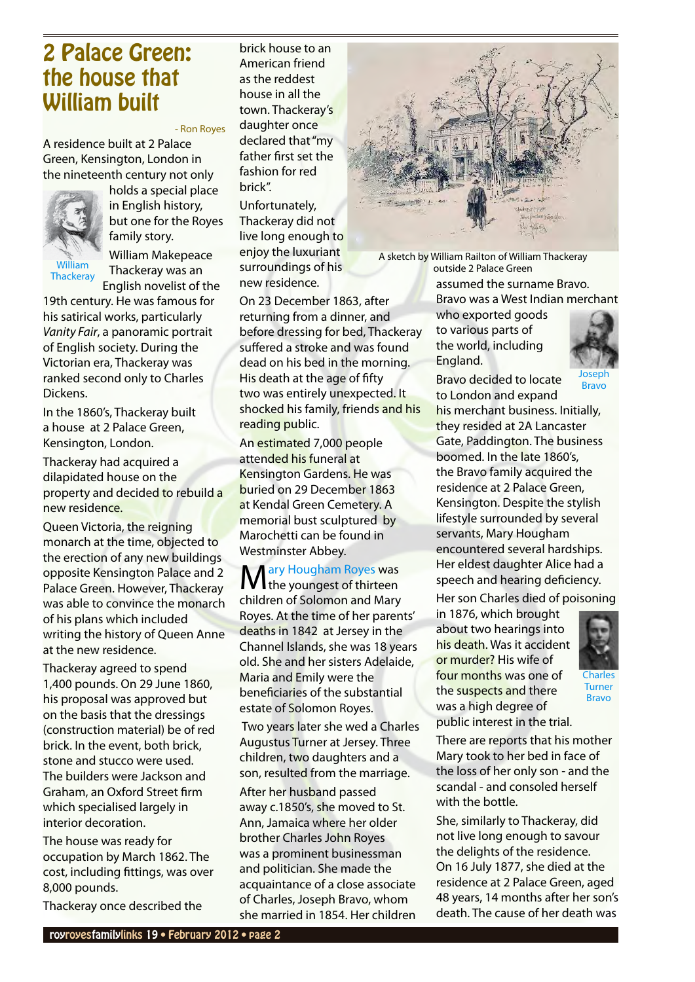### <span id="page-1-0"></span>2 Palace Green: the house that William built

#### - Ron Royes

A residence built at 2 Palace Green, Kensington, London in the nineteenth century not only



holds a special place in English history, but one for the Royes family story. William Makepeace Thackeray was an English novelist of the

19th century. He was famous for his satirical works, particularly *Vanity Fair*, a panoramic portrait of English society. During the Victorian era, Thackeray was ranked second only to Charles Dickens.

In the 1860's, Thackeray built a house at 2 Palace Green, Kensington, London.

Thackeray had acquired a dilapidated house on the property and decided to rebuild a new residence.

Queen Victoria, the reigning monarch at the time, objected to the erection of any new buildings opposite Kensington Palace and 2 Palace Green. However, Thackeray was able to convince the monarch of his plans which included writing the history of Queen Anne at the new residence.

Thackeray agreed to spend 1,400 pounds. On 29 June 1860, his proposal was approved but on the basis that the dressings (construction material) be of red brick. In the event, both brick, stone and stucco were used. The builders were Jackson and Graham, an Oxford Street firm which specialised largely in interior decoration.

The house was ready for occupation by March 1862. The cost, including fittings, was over 8,000 pounds.

Thackeray once described the

brick house to an American friend as the reddest house in all the town. Thackeray's daughter once declared that "my father first set the fashion for red brick".

Unfortunately, Thackeray did not live long enough to enjoy the luxuriant surroundings of his new residence.

On 23 December 1863, after returning from a dinner, and before dressing for bed, Thackeray suffered a stroke and was found dead on his bed in the morning. His death at the age of fifty two was entirely unexpected. It shocked his family, friends and his reading public.

An estimated 7,000 people attended his funeral at Kensington Gardens. He was buried on 29 December 1863 at Kendal Green Cemetery. A memorial bust sculptured by Marochetti can be found in Westminster Abbey.

M[ary Hougham Royes](http://royroyes.net/genealogy/getperson.php?personID=I2257&tree=rr_tree) was<br>
M the youngest of thirteen children of Solomon and Mary Royes. At the time of her parents' deaths in 1842 at Jersey in the Channel Islands, she was 18 years old. She and her sisters Adelaide, Maria and Emily were the beneficiaries of the substantial estate of Solomon Royes.

 Two years later she wed a Charles Augustus Turner at Jersey. Three children, two daughters and a son, resulted from the marriage.

After her husband passed away c.1850's, she moved to St. Ann, Jamaica where her older brother Charles John Royes was a prominent businessman and politician. She made the acquaintance of a close associate of Charles, Joseph Bravo, whom she married in 1854. Her children



A sketch by William Railton of William Thackeray outside 2 Palace Green

> assumed the surname Bravo. Bravo was a West Indian merchant

who exported goods to various parts of the world, including England.

Bravo decided to locate



[Bravo](http://royroyes.net/genealogy/getperson.php?personID=I1733&tree=rr_tree)

to London and expand his merchant business. Initially, they resided at 2A Lancaster Gate, Paddington. The business boomed. In the late 1860's, the Bravo family acquired the residence at 2 Palace Green, Kensington. Despite the stylish lifestyle surrounded by several servants, Mary Hougham encountered several hardships. Her eldest daughter Alice had a speech and hearing deficiency. Her son Charles died of poisoning

in 1876, which brought about two hearings into his death. Was it accident or murder? His wife of four months was one of the suspects and there was a high degree of public interest in the trial.



[Charles](http://royroyes.net/genealogy/getperson.php?personID=I1730&tree=rr_tree)  [Turner](http://royroyes.net/genealogy/getperson.php?personID=I1730&tree=rr_tree)  [Bravo](http://royroyes.net/genealogy/getperson.php?personID=I1730&tree=rr_tree)

There are reports that his mother Mary took to her bed in face of the loss of her only son - and the scandal - and consoled herself with the bottle.

She, similarly to Thackeray, did not live long enough to savour the delights of the residence. On 16 July 1877, she died at the residence at 2 Palace Green, aged 48 years, 14 months after her son's death. The cause of her death was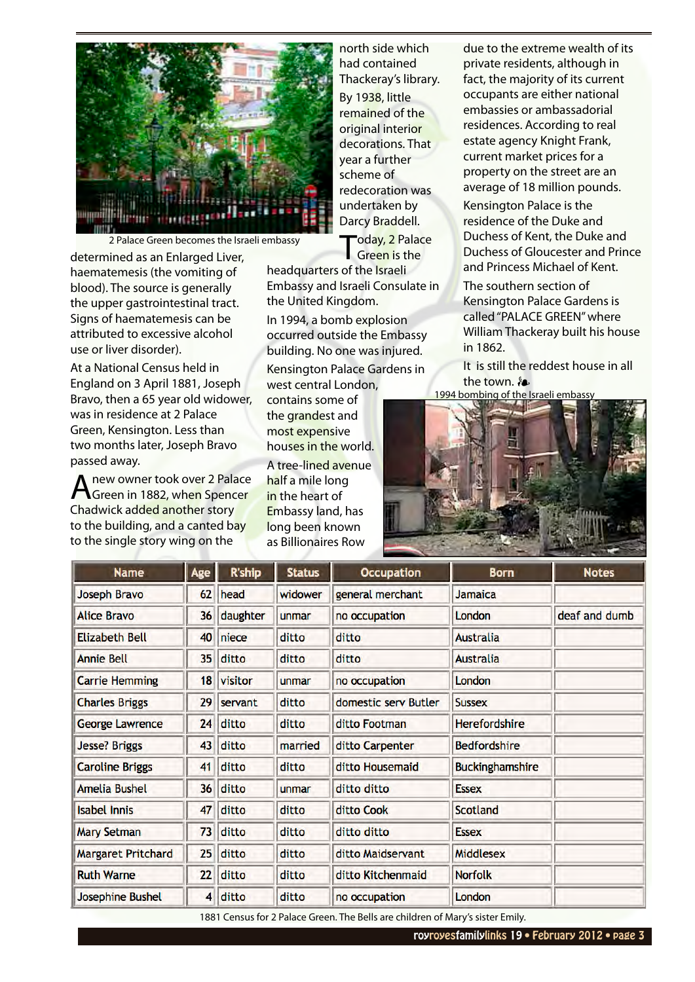

2 Palace Green becomes the Israeli embassy

determined as an Enlarged Liver, haematemesis (the vomiting of blood). The source is generally the upper gastrointestinal tract. Signs of haematemesis can be attributed to excessive alcohol use or liver disorder).

At a National Census held in England on 3 April 1881, Joseph Bravo, then a 65 year old widower, was in residence at 2 Palace Green, Kensington. Less than two months later, Joseph Bravo passed away.

A new owner took over 2 Palace<br>Green in 1882, when Spencer Chadwick added another story to the building, and a canted bay to the single story wing on the

north side which had contained Thackeray's library.

By 1938, little remained of the original interior decorations. That year a further scheme of redecoration was undertaken by Darcy Braddell.

"oday, 2 Palace Green is the

headquarters of the Israeli Embassy and Israeli Consulate in the United Kingdom.

In 1994, a bomb explosion occurred outside the Embassy building. No one was injured.

Kensington Palace Gardens in west central London,

contains some of the grandest and most expensive houses in the world.

A tree-lined avenue half a mile long in the heart of Embassy land, has long been known as Billionaires Row

due to the extreme wealth of its private residents, although in fact, the majority of its current occupants are either national embassies or ambassadorial residences. According to real estate agency Knight Frank, current market prices for a property on the street are an average of 18 million pounds. Kensington Palace is the residence of the Duke and Duchess of Kent, the Duke and Duchess of Gloucester and Prince

The southern section of Kensington Palace Gardens is called "PALACE GREEN" where William Thackeray built his house in 1862.

and Princess Michael of Kent.

It is still the reddest house in all the town. **❧**



| <b>Name</b>               | Age             | <b>R'ship</b> | <b>Status</b> | <b>Occupation</b>    | <b>Born</b>            | <b>Notes</b>  |
|---------------------------|-----------------|---------------|---------------|----------------------|------------------------|---------------|
| <b>Joseph Bravo</b>       | 62              | head          | widower       | general merchant     | Jamaica                |               |
| <b>Alice Bravo</b>        | 36              | daughter      | unmar         | no occupation        | London                 | deaf and dumb |
| <b>Elizabeth Bell</b>     | 40              | niece         | ditto         | ditto                | <b>Australia</b>       |               |
| <b>Annie Bell</b>         | 35 <sub>5</sub> | ditto         | ditto         | ditto                | <b>Australia</b>       |               |
| <b>Carrie Hemming</b>     | 18              | visitor       | unmar         | no occupation        | London                 |               |
| <b>Charles Briggs</b>     | 29              | servant       | ditto         | domestic serv Butler | <b>Sussex</b>          |               |
| <b>George Lawrence</b>    | 24              | ditto         | ditto         | ditto Footman        | Herefordshire          |               |
| <b>Jesse? Briggs</b>      | 43              | ditto         | married       | ditto Carpenter      | <b>Bedfordshire</b>    |               |
| <b>Caroline Briggs</b>    | 41              | ditto         | ditto         | ditto Housemaid      | <b>Buckinghamshire</b> |               |
| <b>Amelia Bushel</b>      | 36              | ditto         | unmar         | ditto ditto          | <b>Essex</b>           |               |
| <b>Isabel Innis</b>       | 47              | ditto         | ditto         | ditto Cook           | <b>Scotland</b>        |               |
| <b>Mary Setman</b>        | 73              | ditto         | ditto         | ditto ditto          | <b>Essex</b>           |               |
| <b>Margaret Pritchard</b> | 25              | ditto         | ditto         | ditto Maidservant    | <b>Middlesex</b>       |               |
| <b>Ruth Warne</b>         | 22              | ditto         | ditto         | ditto Kitchenmaid    | <b>Norfolk</b>         |               |
| <b>Josephine Bushel</b>   | 4               | ditto         | ditto         | no occupation        | London                 |               |

1881 Census for 2 Palace Green. The Bells are children of Mary's sister Emily.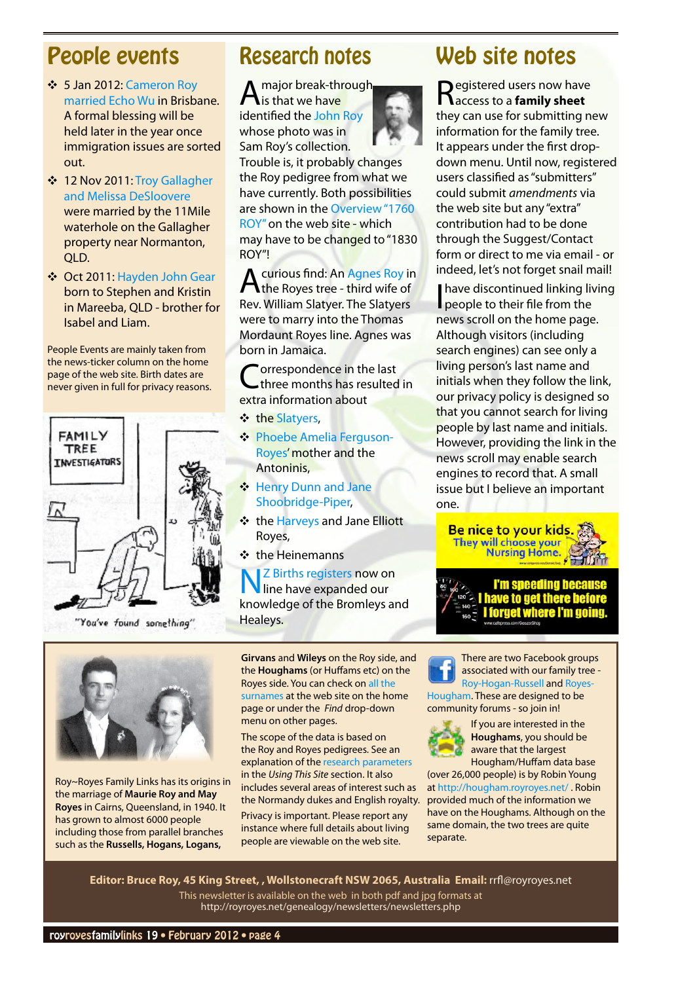## <span id="page-3-0"></span>People events

- Y 5 Jan 2012: [Cameron Roy](http://royroyes.net/genealogy/familygroup.php?familyID=F4415&tree=rr_tree)  [married Echo Wu](http://royroyes.net/genealogy/familygroup.php?familyID=F4415&tree=rr_tree) in Brisbane. A formal blessing will be held later in the year once immigration issues are sorted out.
- ◆ 12 Nov 2011: Troy Gallagher [and Melissa DeSloovere](http://royroyes.net/genealogy/familygroup.php?familyID=F4399&tree=rr_tree) were married by the 11Mile waterhole on the Gallagher property near Normanton, QLD.
- ◆ Oct 2011: [Hayden John Gear](http://royroyes.net/genealogy/getperson.php?personID=I6274&tree=rr_tree) born to Stephen and Kristin in Mareeba, QLD - brother for Isabel and Liam.

People Events are mainly taken from the news-ticker column on the home page of the web site. Birth dates are never given in full for privacy reasons.



"You've found something"



Roy~Royes Family Links has its origins in the marriage of **[Maurie Roy and May](http://royroyes.net/genealogy/familygroup.php?familyID=F3&tree=rr_tree)  [Royes](http://royroyes.net/genealogy/familygroup.php?familyID=F3&tree=rr_tree)** in Cairns, Queensland, in 1940. It has grown to almost 6000 people including those from parallel branches such as the **Russells, Hogans, Logans,** 

## Research notes

A major break-through is that we have identified the [John Roy](http://royroyes.net/genealogy/getperson.php?personID=I6335&tree=rr_tree) whose photo was in Sam Roy's collection.

Trouble is, it probably changes the Roy pedigree from what we have currently. Both possibilities are shown in the [Overview "1760](http://royroyes.net/genealogy/showmedia.php?mediaID=776)  [ROY"](http://royroyes.net/genealogy/showmedia.php?mediaID=776) on the web site - which may have to be changed to "1830 ROY"!

A curious find: An [Agnes Roy](http://royroyes.net/genealogy/getperson.php?personID=I6308&tree=rr_tree) in<br>the Royes tree - third wife of Rev. William Slatyer. The Slatyers were to marry into the Thomas Mordaunt Royes line. Agnes was born in Jamaica.

Correspondence in the last<br>three months has resulted in extra information about

- ❖ the [Slatyers](http://royroyes.net/genealogy/getperson.php?personID=I6307&tree=rr_tree),
- ◆ [Phoebe Amelia Ferguson-](http://royroyes.net/genealogy/getperson.php?personID=I278&tree=rr_tree)[Royes](http://royroyes.net/genealogy/getperson.php?personID=I278&tree=rr_tree)' mother and the Antoninis,
- ❖ Henry Dunn and Jane [Shoobridge-Piper](http://royroyes.net/genealogy/familygroup.php?familyID=F4236&tree=rr_tree),
- **❖** the [Harveys](http://royroyes.net/genealogy/familygroup.php?familyID=F241&tree=rr_tree) and Jane Elliott Royes,
- **❖ the Heinemanns**

**Z** Births registers now on line have expanded our knowledge of the Bromleys and Healeys.

**Girvans** and **Wileys** on the Roy side, and the **Houghams** (or Huffams etc) on the Royes side. You can check on [all the](http://royroyes.net/genealogy/surnames.php)  [surnames](http://royroyes.net/genealogy/surnames.php) at the web site on the home page or under the *Find* drop-down menu on other pages.

The scope of the data is based on the Roy and Royes pedigrees. See an explanation of the [research parameters](http://royroyes.net/genealogy/spt/parameters.php) in the *Using This Site* section. It also includes several areas of interest such as the Normandy dukes and English royalty. Privacy is important. Please report any instance where full details about living people are viewable on the web site.

## Web site notes

Registered users now have access to a **family sheet** they can use for submitting new information for the family tree. It appears under the first dropdown menu. Until now, registered users classified as "submitters" could submit *amendments* via the web site but any "extra" contribution had to be done through the Suggest/Contact form or direct to me via email - or indeed, let's not forget snail mail! **I have discontinued linking living** people to their file from the news scroll on the home page. Although visitors (including search engines) can see only a living person's last name and initials when they follow the link, our privacy policy is designed so that you cannot search for living people by last name and initials.

However, providing the link in the news scroll may enable search engines to record that. A small issue but I believe an important one.





There are two Facebook groups associated with our family tree - [Roy-Hogan-Russell](http://www.facebook.com/group.php?gid=307420077911) and [Royes-](http://www.facebook.com/group.php?gid=308976683590)[Hougham.](http://www.facebook.com/group.php?gid=308976683590) These are designed to be community forums - so join in!



If you are interested in the **Houghams**, you should be aware that the largest Hougham/Huffam data base

(over 26,000 people) is by Robin Young at http://hougham.royroyes.net/ . Robin provided much of the information we have on the Houghams. Although on the same domain, the two trees are quite separate.

**Editor: Bruce Roy, 45 King Street, , Wollstonecraft NSW 2065, Australia Email:** [rrfl@royroyes.net](mailto:rrfl@royroyes.net) This newsletter is available on the web in both pdf and jpg formats at <http://royroyes.net/genealogy/newsletters/newsletters.php>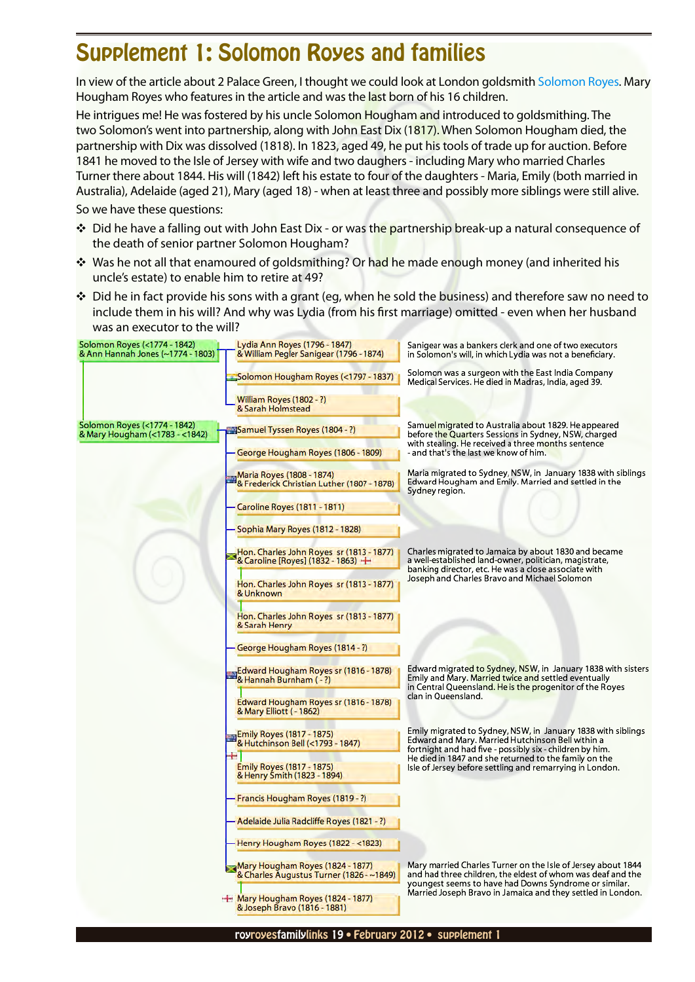## <span id="page-4-0"></span>Supplement 1: Solomon Royes and families

In view of the article about 2 Palace Green, I thought we could look at London goldsmith [Solomon Royes](http://royroyes.net/genealogy/getperson.php?personID=I2225&tree=rr_tree). Mary Hougham Royes who features in the article and was the last born of his 16 children.

He intrigues me! He was fostered by his uncle Solomon Hougham and introduced to goldsmithing. The two Solomon's went into partnership, along with John East Dix (1817). When Solomon Hougham died, the partnership with Dix was dissolved (1818). In 1823, aged 49, he put his tools of trade up for auction. Before 1841 he moved to the Isle of Jersey with wife and two daughers - including Mary who married Charles Turner there about 1844. His will (1842) left his estate to four of the daughters - Maria, Emily (both married in Australia), Adelaide (aged 21), Mary (aged 18) - when at least three and possibly more siblings were still alive.

So we have these questions:

- \* Did he have a falling out with John East Dix or was the partnership break-up a natural consequence of the death of senior partner Solomon Hougham?
- \* Was he not all that enamoured of goldsmithing? Or had he made enough money (and inherited his uncle's estate) to enable him to retire at 49?
- ◆ Did he in fact provide his sons with a grant (eg, when he sold the business) and therefore saw no need to include them in his will? And why was Lydia (from his first marriage) omitted - even when her husband was an executor to the will?

| Solomon Royes (<1774 - 1842)<br>& Ann Hannah Jones (~1774 - 1803) | Lydia Ann Royes (1796 - 1847)<br>& William Pegler Sanigear (1796 - 1874)     | Sanigear was a bankers clerk and one of two executors<br>in Solomon's will, in which Lydia was not a beneficiary.                                                                                                                                   |  |  |
|-------------------------------------------------------------------|------------------------------------------------------------------------------|-----------------------------------------------------------------------------------------------------------------------------------------------------------------------------------------------------------------------------------------------------|--|--|
|                                                                   | Solomon Hougham Royes (<1797 - 1837).                                        | Solomon was a surgeon with the East India Company<br>Medical Services. He died in Madras, India, aged 39.                                                                                                                                           |  |  |
|                                                                   | William Royes (1802 - ?)<br>& Sarah Holmstead                                |                                                                                                                                                                                                                                                     |  |  |
| Solomon Royes (<1774 - 1842)<br>& Mary Hougham (<1783 - <1842)    | Samuel Tyssen Royes (1804 - ?)                                               | Samuel migrated to Australia about 1829. He appeared<br>before the Quarters Sessions in Sydney, NSW, charged<br>with stealing. He received a three months sentence<br>- and that's the last we know of him.                                         |  |  |
|                                                                   | George Hougham Royes (1806 - 1809)                                           |                                                                                                                                                                                                                                                     |  |  |
|                                                                   | Maria Royes (1808 - 1874)<br>& Frederick Christian Luther (1807 - 1878)      | Maria migrated to Sydney, NSW, in January 1838 with siblings<br>Edward Hougham and Emily. Married and settled in the<br>Sydney region.                                                                                                              |  |  |
|                                                                   | Caroline Royes (1811 - 1811)                                                 |                                                                                                                                                                                                                                                     |  |  |
|                                                                   | Sophia Mary Royes (1812 - 1828)                                              |                                                                                                                                                                                                                                                     |  |  |
|                                                                   | Hon. Charles John Royes sr (1813 - 1877)<br>& Caroline [Royes] (1832 - 1863) | Charles migrated to Jamaica by about 1830 and became<br>a well-established land-owner, politician, magistrate,<br>banking director, etc. He was a close associate with                                                                              |  |  |
|                                                                   | Hon. Charles John Royes sr (1813 - 1877)<br>& Unknown                        | Joseph and Charles Bravo and Michael Solomon                                                                                                                                                                                                        |  |  |
|                                                                   | Hon. Charles John Royes sr (1813 - 1877)<br>& Sarah Henry                    |                                                                                                                                                                                                                                                     |  |  |
|                                                                   | George Hougham Royes (1814 - ?)                                              |                                                                                                                                                                                                                                                     |  |  |
|                                                                   | Edward Hougham Royes sr (1816 - 1878)<br>& Hannah Burnham (-?)               | Edward migrated to Sydney, NSW, in January 1838 with sisters<br>Emily and Mary. Married twice and settled eventually<br>in Central Queensland. He is the progenitor of the Royes                                                                    |  |  |
|                                                                   | Edward Hougham Royes sr (1816 - 1878)<br>& Mary Elliott (-1862)              | clan in Queensland.                                                                                                                                                                                                                                 |  |  |
|                                                                   | Emily Royes (1817 - 1875)<br>& Hutchinson Bell (<1793 - 1847)                | Emily migrated to Sydney, NSW, in January 1838 with siblings<br>Edward and Mary. Married Hutchinson Bell within a<br>fortnight and had five - possibly six - children by him.<br>He died in 1847 and she returned to the family on the              |  |  |
|                                                                   | Emily Royes (1817 - 1875)<br>& Henry Smith (1823 - 1894)                     | lsle of Jersey before settling and remarrying in London.                                                                                                                                                                                            |  |  |
|                                                                   | Francis Hougham Royes (1819 - ?)                                             |                                                                                                                                                                                                                                                     |  |  |
|                                                                   | Adelaide Julia Radcliffe Royes (1821 - ?)                                    |                                                                                                                                                                                                                                                     |  |  |
|                                                                   | Henry Hougham Royes (1822 - <1823)                                           |                                                                                                                                                                                                                                                     |  |  |
|                                                                   | Mary Hougham Royes (1824 - 1877)<br>& Charles Augustus Turner (1826 - ~1849) | Mary married Charles Turner on the Isle of Jersey about 1844<br>and had three children, the eldest of whom was deaf and the<br>youngest seems to have had Downs Syndrome or similar.<br>Married Joseph Bravo in Jamaica and they settled in London. |  |  |
|                                                                   | $\pm$ Mary Hougham Royes (1824 - 1877)<br>& Joseph Bravo (1816 - 1881)       |                                                                                                                                                                                                                                                     |  |  |
|                                                                   |                                                                              |                                                                                                                                                                                                                                                     |  |  |